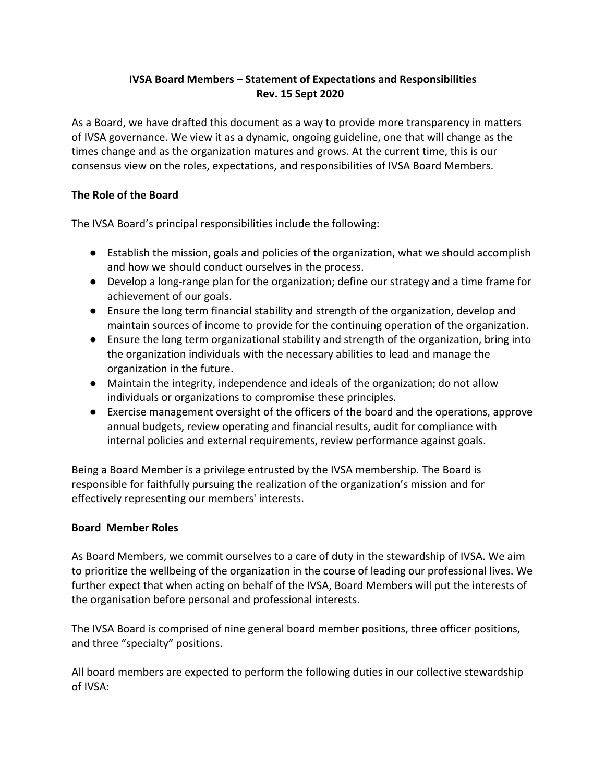# **IVSA Board Members – Statement of Expectations and Responsibilities Rev. 15 Sept 2020**

As a Board, we have drafted this document as a way to provide more transparency in matters of IVSA governance. We view it as a dynamic, ongoing guideline, one that will change as the times change and as the organization matures and grows. At the current time, this is our consensus view on the roles, expectations, and responsibilities of IVSA Board Members.

## **The Role of the Board**

The IVSA Board's principal responsibilities include the following:

- Establish the mission, goals and policies of the organization, what we should accomplish and how we should conduct ourselves in the process.
- Develop a long-range plan for the organization; define our strategy and a time frame for achievement of our goals.
- Ensure the long term financial stability and strength of the organization, develop and maintain sources of income to provide for the continuing operation of the organization.
- Ensure the long term organizational stability and strength of the organization, bring into the organization individuals with the necessary abilities to lead and manage the organization in the future.
- Maintain the integrity, independence and ideals of the organization; do not allow individuals or organizations to compromise these principles.
- Exercise management oversight of the officers of the board and the operations, approve annual budgets, review operating and financial results, audit for compliance with internal policies and external requirements, review performance against goals.

Being a Board Member is a privilege entrusted by the IVSA membership. The Board is responsible for faithfully pursuing the realization of the organization's mission and for effectively representing our members' interests.

### **Board Member Roles**

As Board Members, we commit ourselves to a care of duty in the stewardship of IVSA. We aim to prioritize the wellbeing of the organization in the course of leading our professional lives. We further expect that when acting on behalf of the IVSA, Board Members will put the interests of the organisation before personal and professional interests.

The IVSA Board is comprised of nine general board member positions, three officer positions, and three "specialty" positions.

All board members are expected to perform the following duties in our collective stewardship of IVSA: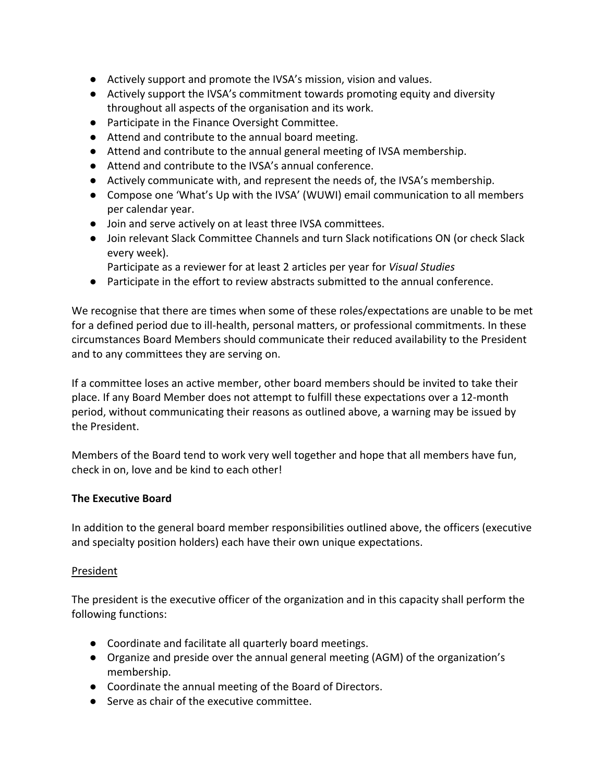- Actively support and promote the IVSA's mission, vision and values.
- Actively support the IVSA's commitment towards promoting equity and diversity throughout all aspects of the organisation and its work.
- Participate in the Finance Oversight Committee.
- Attend and contribute to the annual board meeting.
- Attend and contribute to the annual general meeting of IVSA membership.
- Attend and contribute to the IVSA's annual conference.
- Actively communicate with, and represent the needs of, the IVSA's membership.
- Compose one 'What's Up with the IVSA' (WUWI) email communication to all members per calendar year.
- Join and serve actively on at least three IVSA committees.
- Join relevant Slack Committee Channels and turn Slack notifications ON (or check Slack every week).
	- Participate as a reviewer for at least 2 articles per year for *Visual Studies*
- Participate in the effort to review abstracts submitted to the annual conference.

We recognise that there are times when some of these roles/expectations are unable to be met for a defined period due to ill-health, personal matters, or professional commitments. In these circumstances Board Members should communicate their reduced availability to the President and to any committees they are serving on.

If a committee loses an active member, other board members should be invited to take their place. If any Board Member does not attempt to fulfill these expectations over a 12-month period, without communicating their reasons as outlined above, a warning may be issued by the President.

Members of the Board tend to work very well together and hope that all members have fun, check in on, love and be kind to each other!

### **The Executive Board**

In addition to the general board member responsibilities outlined above, the officers (executive and specialty position holders) each have their own unique expectations.

### President

The president is the executive officer of the organization and in this capacity shall perform the following functions:

- Coordinate and facilitate all quarterly board meetings.
- Organize and preside over the annual general meeting (AGM) of the organization's membership.
- Coordinate the annual meeting of the Board of Directors.
- Serve as chair of the executive committee.